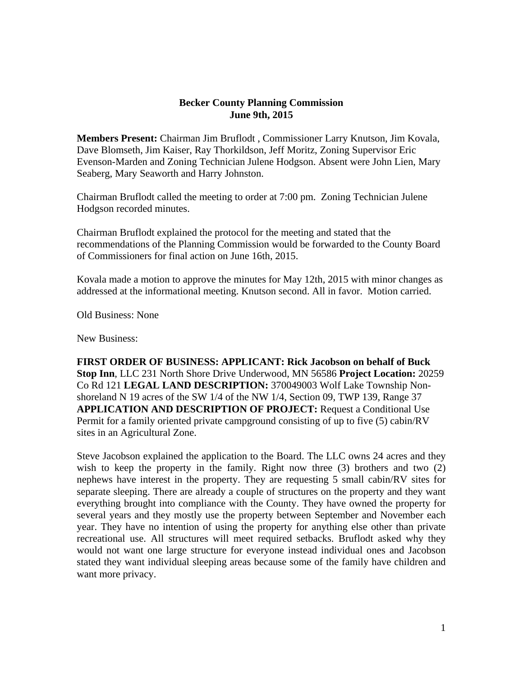## **Becker County Planning Commission June 9th, 2015**

**Members Present:** Chairman Jim Bruflodt , Commissioner Larry Knutson, Jim Kovala, Dave Blomseth, Jim Kaiser, Ray Thorkildson, Jeff Moritz, Zoning Supervisor Eric Evenson-Marden and Zoning Technician Julene Hodgson. Absent were John Lien, Mary Seaberg, Mary Seaworth and Harry Johnston.

Chairman Bruflodt called the meeting to order at 7:00 pm. Zoning Technician Julene Hodgson recorded minutes.

Chairman Bruflodt explained the protocol for the meeting and stated that the recommendations of the Planning Commission would be forwarded to the County Board of Commissioners for final action on June 16th, 2015.

Kovala made a motion to approve the minutes for May 12th, 2015 with minor changes as addressed at the informational meeting. Knutson second. All in favor. Motion carried.

Old Business: None

New Business:

**FIRST ORDER OF BUSINESS: APPLICANT: Rick Jacobson on behalf of Buck Stop Inn**, LLC 231 North Shore Drive Underwood, MN 56586 **Project Location:** 20259 Co Rd 121 **LEGAL LAND DESCRIPTION:** 370049003 Wolf Lake Township Nonshoreland N 19 acres of the SW 1/4 of the NW 1/4, Section 09, TWP 139, Range 37 **APPLICATION AND DESCRIPTION OF PROJECT:** Request a Conditional Use Permit for a family oriented private campground consisting of up to five (5) cabin/RV sites in an Agricultural Zone.

Steve Jacobson explained the application to the Board. The LLC owns 24 acres and they wish to keep the property in the family. Right now three (3) brothers and two (2) nephews have interest in the property. They are requesting 5 small cabin/RV sites for separate sleeping. There are already a couple of structures on the property and they want everything brought into compliance with the County. They have owned the property for several years and they mostly use the property between September and November each year. They have no intention of using the property for anything else other than private recreational use. All structures will meet required setbacks. Bruflodt asked why they would not want one large structure for everyone instead individual ones and Jacobson stated they want individual sleeping areas because some of the family have children and want more privacy.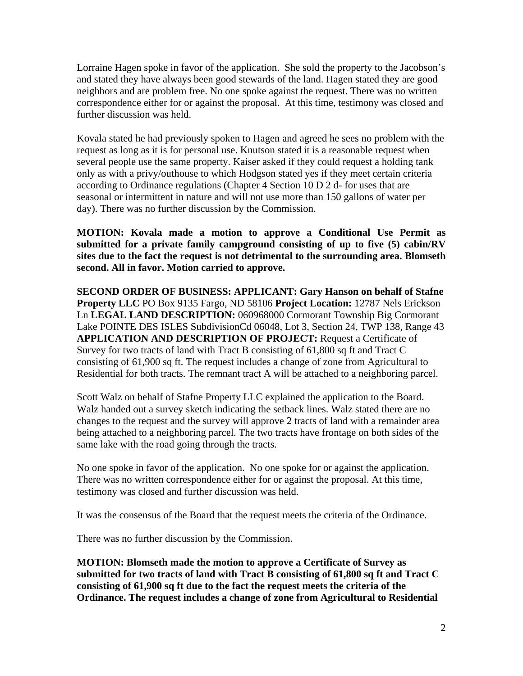Lorraine Hagen spoke in favor of the application. She sold the property to the Jacobson's and stated they have always been good stewards of the land. Hagen stated they are good neighbors and are problem free. No one spoke against the request. There was no written correspondence either for or against the proposal. At this time, testimony was closed and further discussion was held.

Kovala stated he had previously spoken to Hagen and agreed he sees no problem with the request as long as it is for personal use. Knutson stated it is a reasonable request when several people use the same property. Kaiser asked if they could request a holding tank only as with a privy/outhouse to which Hodgson stated yes if they meet certain criteria according to Ordinance regulations (Chapter 4 Section 10 D 2 d- for uses that are seasonal or intermittent in nature and will not use more than 150 gallons of water per day). There was no further discussion by the Commission.

**MOTION: Kovala made a motion to approve a Conditional Use Permit as submitted for a private family campground consisting of up to five (5) cabin/RV sites due to the fact the request is not detrimental to the surrounding area. Blomseth second. All in favor. Motion carried to approve.** 

**SECOND ORDER OF BUSINESS: APPLICANT: Gary Hanson on behalf of Stafne Property LLC** PO Box 9135 Fargo, ND 58106 **Project Location:** 12787 Nels Erickson Ln **LEGAL LAND DESCRIPTION:** 060968000 Cormorant Township Big Cormorant Lake POINTE DES ISLES SubdivisionCd 06048, Lot 3, Section 24, TWP 138, Range 43 **APPLICATION AND DESCRIPTION OF PROJECT:** Request a Certificate of Survey for two tracts of land with Tract B consisting of 61,800 sq ft and Tract C consisting of 61,900 sq ft. The request includes a change of zone from Agricultural to Residential for both tracts. The remnant tract A will be attached to a neighboring parcel.

Scott Walz on behalf of Stafne Property LLC explained the application to the Board. Walz handed out a survey sketch indicating the setback lines. Walz stated there are no changes to the request and the survey will approve 2 tracts of land with a remainder area being attached to a neighboring parcel. The two tracts have frontage on both sides of the same lake with the road going through the tracts.

No one spoke in favor of the application. No one spoke for or against the application. There was no written correspondence either for or against the proposal. At this time, testimony was closed and further discussion was held.

It was the consensus of the Board that the request meets the criteria of the Ordinance.

There was no further discussion by the Commission.

**MOTION: Blomseth made the motion to approve a Certificate of Survey as submitted for two tracts of land with Tract B consisting of 61,800 sq ft and Tract C consisting of 61,900 sq ft due to the fact the request meets the criteria of the Ordinance. The request includes a change of zone from Agricultural to Residential**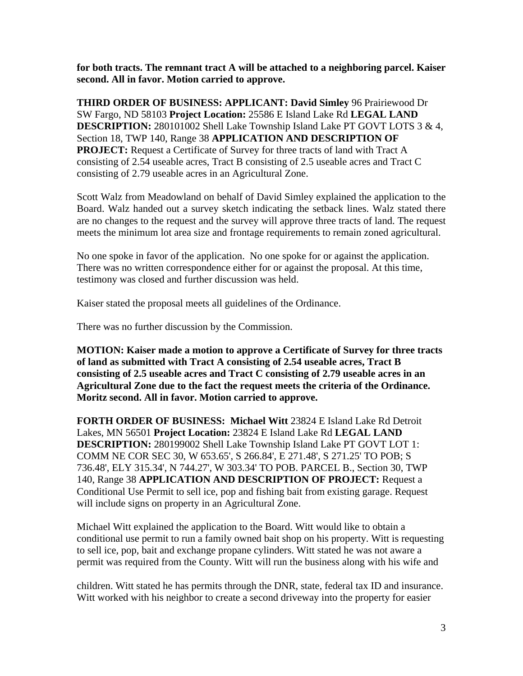**for both tracts. The remnant tract A will be attached to a neighboring parcel. Kaiser second. All in favor. Motion carried to approve.** 

**THIRD ORDER OF BUSINESS: APPLICANT: David Simley** 96 Prairiewood Dr SW Fargo, ND 58103 **Project Location:** 25586 E Island Lake Rd **LEGAL LAND DESCRIPTION:** 280101002 Shell Lake Township Island Lake PT GOVT LOTS 3 & 4, Section 18, TWP 140, Range 38 **APPLICATION AND DESCRIPTION OF PROJECT:** Request a Certificate of Survey for three tracts of land with Tract A consisting of 2.54 useable acres, Tract B consisting of 2.5 useable acres and Tract C consisting of 2.79 useable acres in an Agricultural Zone.

Scott Walz from Meadowland on behalf of David Simley explained the application to the Board. Walz handed out a survey sketch indicating the setback lines. Walz stated there are no changes to the request and the survey will approve three tracts of land. The request meets the minimum lot area size and frontage requirements to remain zoned agricultural.

No one spoke in favor of the application. No one spoke for or against the application. There was no written correspondence either for or against the proposal. At this time, testimony was closed and further discussion was held.

Kaiser stated the proposal meets all guidelines of the Ordinance.

There was no further discussion by the Commission.

**MOTION: Kaiser made a motion to approve a Certificate of Survey for three tracts of land as submitted with Tract A consisting of 2.54 useable acres, Tract B consisting of 2.5 useable acres and Tract C consisting of 2.79 useable acres in an Agricultural Zone due to the fact the request meets the criteria of the Ordinance. Moritz second. All in favor. Motion carried to approve.** 

**FORTH ORDER OF BUSINESS: Michael Witt** 23824 E Island Lake Rd Detroit Lakes, MN 56501 **Project Location:** 23824 E Island Lake Rd **LEGAL LAND DESCRIPTION:** 280199002 Shell Lake Township Island Lake PT GOVT LOT 1: COMM NE COR SEC 30, W 653.65', S 266.84', E 271.48', S 271.25' TO POB; S 736.48', ELY 315.34', N 744.27', W 303.34' TO POB. PARCEL B., Section 30, TWP 140, Range 38 **APPLICATION AND DESCRIPTION OF PROJECT:** Request a Conditional Use Permit to sell ice, pop and fishing bait from existing garage. Request will include signs on property in an Agricultural Zone.

Michael Witt explained the application to the Board. Witt would like to obtain a conditional use permit to run a family owned bait shop on his property. Witt is requesting to sell ice, pop, bait and exchange propane cylinders. Witt stated he was not aware a permit was required from the County. Witt will run the business along with his wife and

children. Witt stated he has permits through the DNR, state, federal tax ID and insurance. Witt worked with his neighbor to create a second driveway into the property for easier